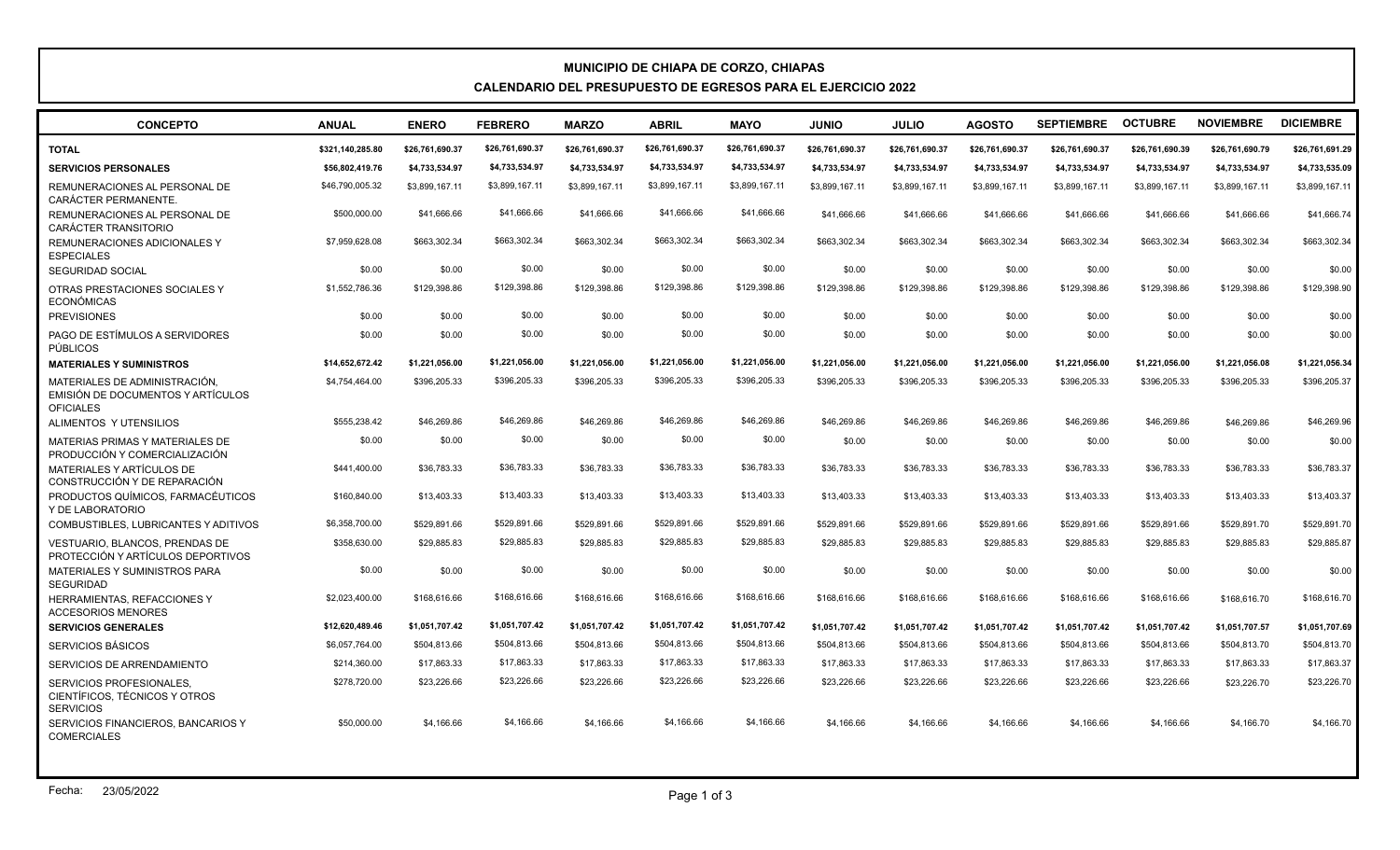## **MUNICIPIO DE CHIAPA DE CORZO, CHIAPAS CALENDARIO DEL PRESUPUESTO DE EGRESOS PARA EL EJERCICIO 2022**

| <b>CONCEPTO</b>                                                                        | <b>ANUAL</b>     | <b>ENERO</b>    | <b>FEBRERO</b>  | <b>MARZO</b>    | <b>ABRIL</b>    | <b>MAYO</b>     | <b>OINIU</b>    | <b>JULIO</b>    | <b>AGOSTO</b>   | <b>SEPTIEMBRE</b> | <b>OCTUBRE</b>  | <b>NOVIEMBRE</b> | <b>DICIEMBRE</b> |
|----------------------------------------------------------------------------------------|------------------|-----------------|-----------------|-----------------|-----------------|-----------------|-----------------|-----------------|-----------------|-------------------|-----------------|------------------|------------------|
| <b>TOTAL</b>                                                                           | \$321,140,285.80 | \$26,761,690.37 | \$26,761,690.37 | \$26,761,690.37 | \$26,761,690.37 | \$26,761,690.37 | \$26,761,690.37 | \$26,761,690.37 | \$26,761,690.37 | \$26,761,690.37   | \$26,761,690.39 | \$26,761,690.79  | \$26,761,691.29  |
| <b>SERVICIOS PERSONALES</b>                                                            | \$56,802,419.76  | \$4,733,534.97  | \$4,733,534.97  | \$4,733,534.97  | \$4,733,534.97  | \$4.733.534.97  | \$4,733,534.97  | \$4,733,534.97  | \$4,733,534.97  | \$4,733,534.97    | \$4,733,534.97  | \$4,733,534.97   | \$4,733,535.09   |
| REMUNERACIONES AL PERSONAL DE<br>CARÁCTER PERMANENTE.                                  | \$46,790,005.32  | \$3,899,167.11  | \$3,899,167.11  | \$3,899,167.11  | \$3,899,167.11  | \$3,899,167.11  | \$3,899,167.11  | \$3,899,167.11  | \$3,899,167.11  | \$3,899,167.11    | \$3,899,167.11  | \$3.899.167.11   | \$3,899,167.11   |
| REMUNERACIONES AL PERSONAL DE<br><b>CARÁCTER TRANSITORIO</b>                           | \$500,000.00     | \$41,666,66     | \$41,666,66     | \$41,666.66     | \$41,666,66     | \$41,666,66     | \$41,666,66     | \$41,666,66     | \$41,666.66     | \$41,666.66       | \$41,666.66     | \$41,666,66      | \$41,666.74      |
| REMUNERACIONES ADICIONALES Y<br><b>ESPECIALES</b>                                      | \$7.959.628.08   | \$663,302,34    | \$663,302.34    | \$663.302.34    | \$663,302.34    | \$663,302.34    | \$663,302.34    | \$663,302.34    | \$663,302.34    | \$663,302.34      | \$663,302.34    | \$663,302.34     | \$663,302.34     |
| <b>SEGURIDAD SOCIAL</b>                                                                | \$0.00           | \$0.00          | \$0.00          | \$0.00          | \$0.00          | \$0.00          | \$0.00          | \$0.00          | \$0.00          | \$0.00            | \$0.00          | \$0.00           | \$0.00           |
| OTRAS PRESTACIONES SOCIALES Y<br>ECONÓMICAS                                            | \$1,552,786.36   | \$129,398.86    | \$129,398.86    | \$129,398.86    | \$129,398.86    | \$129,398.86    | \$129,398.86    | \$129,398.86    | \$129,398.86    | \$129,398.86      | \$129,398.86    | \$129,398.86     | \$129,398.90     |
| <b>PREVISIONES</b>                                                                     | \$0.00           | \$0.00          | \$0.00          | \$0.00          | \$0.00          | \$0.00          | \$0.00          | \$0.00          | \$0.00          | \$0.00            | \$0.00          | \$0.00           | \$0.00           |
| PAGO DE ESTÍMULOS A SERVIDORES<br>PÚBLICOS                                             | \$0.00           | \$0.00          | \$0.00          | \$0.00          | \$0.00          | \$0.00          | \$0.00          | \$0.00          | \$0.00          | \$0.00            | \$0.00          | \$0.00           | \$0.00           |
| <b>MATERIALES Y SUMINISTROS</b>                                                        | \$14,652,672.42  | \$1,221,056.00  | \$1,221,056.00  | \$1,221,056.00  | \$1,221,056.00  | \$1,221,056.00  | \$1,221,056.00  | \$1,221,056.00  | \$1,221,056.00  | \$1,221,056.00    | \$1,221,056.00  | \$1,221,056.08   | \$1,221,056.34   |
| MATERIALES DE ADMINISTRACIÓN.<br>EMISIÓN DE DOCUMENTOS Y ARTÍCULOS<br><b>OFICIALES</b> | \$4,754,464.00   | \$396,205.33    | \$396,205.33    | \$396,205,33    | \$396,205.33    | \$396,205.33    | \$396,205.33    | \$396,205.33    | \$396.205.33    | \$396,205.33      | \$396,205.33    | \$396,205.33     | \$396,205.37     |
| ALIMENTOS Y UTENSILIOS                                                                 | \$555,238.42     | \$46,269.86     | \$46,269.86     | \$46,269.86     | \$46,269.86     | \$46,269.86     | \$46,269.86     | \$46,269.86     | \$46,269.86     | \$46,269.86       | \$46,269.86     | \$46,269.86      | \$46,269.96      |
| MATERIAS PRIMAS Y MATERIALES DE<br>PRODUCCIÓN Y COMERCIALIZACIÓN                       | \$0.00           | \$0.00          | \$0.00          | \$0.00          | \$0.00          | \$0.00          | \$0.00          | \$0.00          | \$0.00          | \$0.00            | \$0.00          | \$0.00           | \$0.00           |
| MATERIALES Y ARTÍCULOS DE<br>CONSTRUCCIÓN Y DE REPARACIÓN                              | \$441,400.00     | \$36,783,33     | \$36,783.33     | \$36,783,33     | \$36,783.33     | \$36,783.33     | \$36,783,33     | \$36.783.33     | \$36,783,33     | \$36,783,33       | \$36,783,33     | \$36,783,33      | \$36,783,37      |
| PRODUCTOS QUÍMICOS, FARMACÉUTICOS<br>Y DE LABORATORIO                                  | \$160,840.00     | \$13,403.33     | \$13,403.33     | \$13,403.33     | \$13,403.33     | \$13,403.33     | \$13,403.33     | \$13,403.33     | \$13,403.33     | \$13,403.33       | \$13,403.33     | \$13,403.33      | \$13,403.37      |
| COMBUSTIBLES, LUBRICANTES Y ADITIVOS                                                   | \$6,358,700.00   | \$529,891.66    | \$529,891.66    | \$529.891.66    | \$529,891.66    | \$529,891.66    | \$529.891.66    | \$529.891.66    | \$529.891.66    | \$529,891.66      | \$529.891.66    | \$529,891.70     | \$529,891.70     |
| <b>VESTUARIO. BLANCOS. PRENDAS DE</b><br>PROTECCIÓN Y ARTÍCULOS DEPORTIVOS             | \$358,630.00     | \$29.885.83     | \$29,885.83     | \$29.885.83     | \$29,885.83     | \$29,885.83     | \$29.885.83     | \$29,885.83     | \$29.885.83     | \$29.885.83       | \$29,885.83     | \$29.885.83      | \$29,885.87      |
| <b>MATERIALES Y SUMINISTROS PARA</b><br><b>SEGURIDAD</b>                               | \$0.00           | \$0.00          | \$0.00          | \$0.00          | \$0.00          | \$0.00          | \$0.00          | \$0.00          | \$0.00          | \$0.00            | \$0.00          | \$0.00           | \$0.00           |
| <b>HERRAMIENTAS, REFACCIONES Y</b><br><b>ACCESORIOS MENORES</b>                        | \$2,023,400.00   | \$168,616,66    | \$168,616,66    | \$168,616,66    | \$168,616.66    | \$168,616.66    | \$168,616.66    | \$168,616.66    | \$168,616.66    | \$168,616,66      | \$168,616,66    | \$168,616.70     | \$168,616.70     |
| <b>SERVICIOS GENERALES</b>                                                             | \$12.620.489.46  | \$1.051.707.42  | \$1,051,707.42  | \$1.051.707.42  | \$1,051,707.42  | \$1,051,707.42  | \$1,051,707.42  | \$1,051,707.42  | \$1,051,707.42  | \$1,051,707.42    | \$1,051,707.42  | \$1,051,707.57   | \$1,051,707.69   |
| SERVICIOS BÁSICOS                                                                      | \$6,057,764.00   | \$504.813.66    | \$504,813.66    | \$504.813.66    | \$504,813.66    | \$504,813.66    | \$504.813.66    | \$504,813.66    | \$504,813.66    | \$504,813.66      | \$504,813.66    | \$504,813.70     | \$504,813.70     |
| SERVICIOS DE ARRENDAMIENTO                                                             | \$214,360.00     | \$17,863.33     | \$17,863.33     | \$17,863.33     | \$17,863.33     | \$17,863.33     | \$17,863.33     | \$17,863.33     | \$17,863.33     | \$17,863.33       | \$17,863.33     | \$17,863.33      | \$17,863.37      |
| SERVICIOS PROFESIONALES.<br>CIENTÍFICOS, TÉCNICOS Y OTROS<br><b>SERVICIOS</b>          | \$278,720.00     | \$23,226.66     | \$23,226.66     | \$23,226.66     | \$23,226.66     | \$23,226.66     | \$23,226.66     | \$23,226.66     | \$23,226.66     | \$23,226.66       | \$23,226.66     | \$23,226.70      | \$23,226.70      |
| SERVICIOS FINANCIEROS, BANCARIOS Y<br><b>COMERCIALES</b>                               | \$50,000.00      | \$4,166,66      | \$4,166.66      | \$4,166.66      | \$4,166,66      | \$4,166.66      | \$4,166.66      | \$4,166.66      | \$4,166.66      | \$4,166.66        | \$4,166.66      | \$4,166,70       | \$4,166.70       |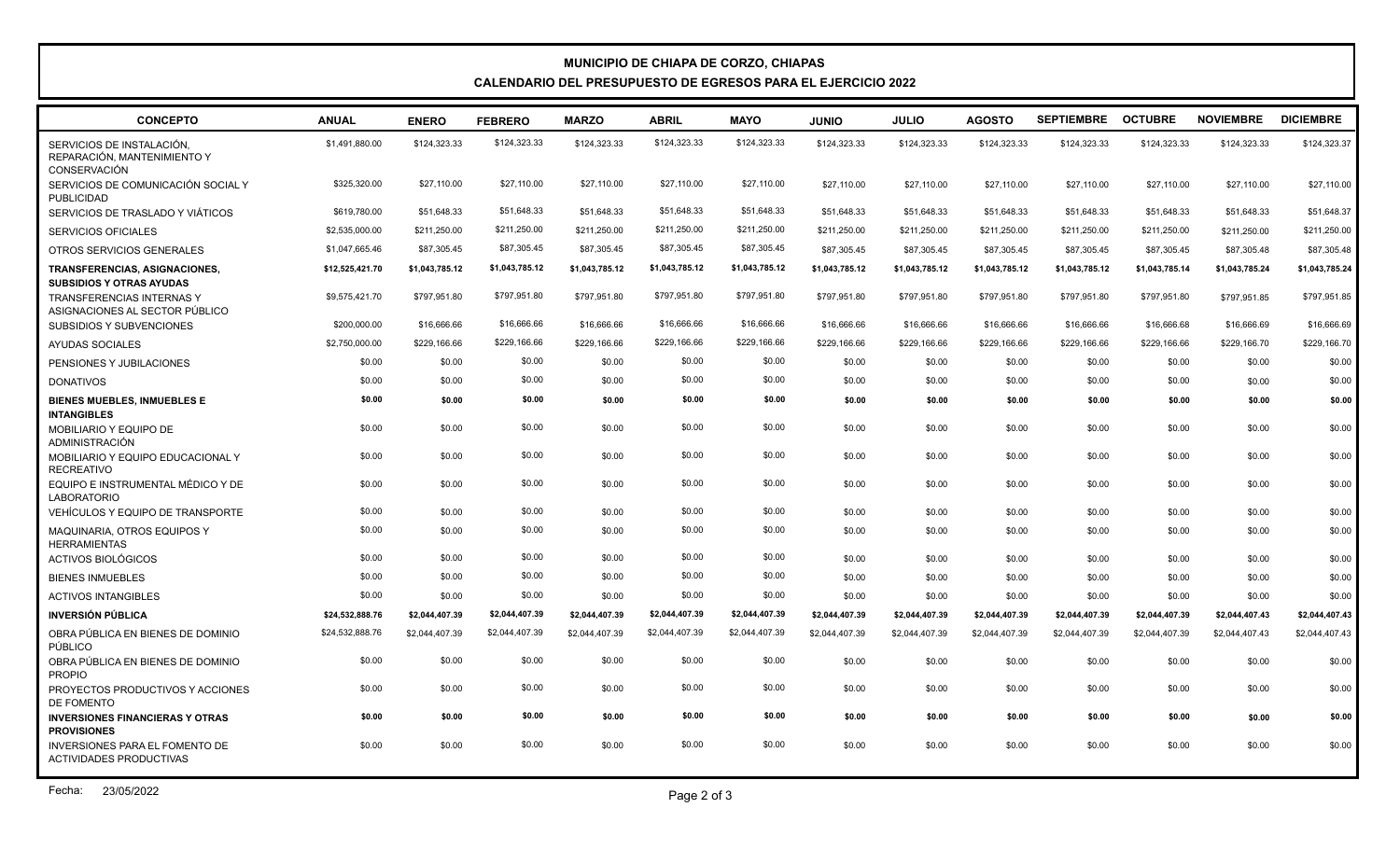## **MUNICIPIO DE CHIAPA DE CORZO, CHIAPAS CALENDARIO DEL PRESUPUESTO DE EGRESOS PARA EL EJERCICIO 2022**

| <b>CONCEPTO</b>                                                                 | <b>ANUAL</b>    | <b>ENERO</b>   | <b>FEBRERO</b> | <b>MARZO</b>   | <b>ABRIL</b>   | <b>MAYO</b>    | <b>JUNIO</b>   | <b>JULIO</b>   | <b>AGOSTO</b>  | <b>SEPTIEMBRE</b> | <b>OCTUBRE</b> | <b>NOVIEMBRE</b> | <b>DICIEMBRE</b> |
|---------------------------------------------------------------------------------|-----------------|----------------|----------------|----------------|----------------|----------------|----------------|----------------|----------------|-------------------|----------------|------------------|------------------|
| SERVICIOS DE INSTALACIÓN.<br>REPARACIÓN. MANTENIMIENTO Y<br><b>CONSERVACIÓN</b> | \$1,491,880.00  | \$124,323.33   | \$124,323.33   | \$124,323.33   | \$124,323.33   | \$124,323.33   | \$124,323.33   | \$124,323.33   | \$124,323.33   | \$124,323.33      | \$124,323.33   | \$124,323.33     | \$124,323.37     |
| SERVICIOS DE COMUNICACIÓN SOCIAL Y<br>PUBLICIDAD                                | \$325,320.00    | \$27,110.00    | \$27,110.00    | \$27,110.00    | \$27,110.00    | \$27,110.00    | \$27,110.00    | \$27,110.00    | \$27,110.00    | \$27,110.00       | \$27,110.00    | \$27,110.00      | \$27,110.00      |
| SERVICIOS DE TRASLADO Y VIÁTICOS                                                | \$619,780.00    | \$51,648.33    | \$51.648.33    | \$51,648.33    | \$51.648.33    | \$51,648.33    | \$51.648.33    | \$51,648.33    | \$51,648.33    | \$51,648.33       | \$51,648.33    | \$51,648.33      | \$51,648.37      |
| <b>SERVICIOS OFICIALES</b>                                                      | \$2,535,000.00  | \$211,250.00   | \$211,250.00   | \$211,250.00   | \$211,250.00   | \$211,250.00   | \$211,250.00   | \$211,250.00   | \$211,250.00   | \$211,250.00      | \$211,250.00   | \$211,250.00     | \$211,250.00     |
| OTROS SERVICIOS GENERALES                                                       | \$1,047,665.46  | \$87,305.45    | \$87,305.45    | \$87,305.45    | \$87,305.45    | \$87,305.45    | \$87,305.45    | \$87,305.45    | \$87,305.45    | \$87,305.45       | \$87,305.45    | \$87,305.48      | \$87,305.48      |
| TRANSFERENCIAS, ASIGNACIONES,<br><b>SUBSIDIOS Y OTRAS AYUDAS</b>                | \$12,525,421.70 | \$1,043,785.12 | \$1,043,785.12 | \$1,043,785.12 | \$1,043,785.12 | \$1,043,785.12 | \$1,043,785.12 | \$1,043,785.12 | \$1,043,785.12 | \$1,043,785.12    | \$1,043,785.14 | \$1,043,785.24   | \$1,043,785.24   |
| <b>TRANSFERENCIAS INTERNAS Y</b><br>ASIGNACIONES AL SECTOR PÚBLICO              | \$9,575,421.70  | \$797,951.80   | \$797,951.80   | \$797,951.80   | \$797.951.80   | \$797.951.80   | \$797,951.80   | \$797,951.80   | \$797,951.80   | \$797,951.80      | \$797,951.80   | \$797,951.85     | \$797,951.85     |
| <b>SUBSIDIOS Y SUBVENCIONES</b>                                                 | \$200,000.00    | \$16,666,66    | \$16,666.66    | \$16,666,66    | \$16,666.66    | \$16,666.66    | \$16,666,66    | \$16,666.66    | \$16,666.66    | \$16,666.66       | \$16,666.68    | \$16,666.69      | \$16,666.69      |
| <b>AYUDAS SOCIALES</b>                                                          | \$2,750,000.00  | \$229,166.66   | \$229,166.66   | \$229,166.66   | \$229,166.66   | \$229,166.66   | \$229,166.66   | \$229,166.66   | \$229,166.66   | \$229,166.66      | \$229,166.66   | \$229,166.70     | \$229,166.70     |
| PENSIONES Y JUBILACIONES                                                        | \$0.00          | \$0.00         | \$0.00         | \$0.00         | \$0.00         | \$0.00         | \$0.00         | \$0.00         | \$0.00         | \$0.00            | \$0.00         | \$0.00           | \$0.00           |
| <b>DONATIVOS</b>                                                                | \$0.00          | \$0.00         | \$0.00         | \$0.00         | \$0.00         | \$0.00         | \$0.00         | \$0.00         | \$0.00         | \$0.00            | \$0.00         | \$0.00           | \$0.00           |
| <b>BIENES MUEBLES. INMUEBLES E</b><br><b>INTANGIBLES</b>                        | \$0.00          | \$0.00         | \$0.00         | \$0.00         | \$0.00         | \$0.00         | \$0.00         | \$0.00         | \$0.00         | \$0.00            | \$0.00         | \$0.00           | \$0.00           |
| <b>MOBILIARIO Y EQUIPO DE</b><br><b>ADMINISTRACIÓN</b>                          | \$0.00          | \$0.00         | \$0.00         | \$0.00         | \$0.00         | \$0.00         | \$0.00         | \$0.00         | \$0.00         | \$0.00            | \$0.00         | \$0.00           | \$0.00           |
| MOBILIARIO Y EQUIPO EDUCACIONAL Y<br><b>RECREATIVO</b>                          | \$0.00          | \$0.00         | \$0.00         | \$0.00         | \$0.00         | \$0.00         | \$0.00         | \$0.00         | \$0.00         | \$0.00            | \$0.00         | \$0.00           | \$0.00           |
| EQUIPO E INSTRUMENTAL MÉDICO Y DE<br><b>LABORATORIO</b>                         | \$0.00          | \$0.00         | \$0.00         | \$0.00         | \$0.00         | \$0.00         | \$0.00         | \$0.00         | \$0.00         | \$0.00            | \$0.00         | \$0.00           | \$0.00           |
| VEHÍCULOS Y EQUIPO DE TRANSPORTE                                                | \$0.00          | \$0.00         | \$0.00         | \$0.00         | \$0.00         | \$0.00         | \$0.00         | \$0.00         | \$0.00         | \$0.00            | \$0.00         | \$0.00           | \$0.00           |
| MAQUINARIA, OTROS EQUIPOS Y<br><b>HERRAMIENTAS</b>                              | \$0.00          | \$0.00         | \$0.00         | \$0.00         | \$0.00         | \$0.00         | \$0.00         | \$0.00         | \$0.00         | \$0.00            | \$0.00         | \$0.00           | \$0.00           |
| ACTIVOS BIOLÓGICOS                                                              | \$0.00          | \$0.00         | \$0.00         | \$0.00         | \$0.00         | \$0.00         | \$0.00         | \$0.00         | \$0.00         | \$0.00            | \$0.00         | \$0.00           | \$0.00           |
| <b>BIENES INMUEBLES</b>                                                         | \$0.00          | \$0.00         | \$0.00         | \$0.00         | \$0.00         | \$0.00         | \$0.00         | \$0.00         | \$0.00         | \$0.00            | \$0.00         | \$0.00           | \$0.00           |
| <b>ACTIVOS INTANGIBLES</b>                                                      | \$0.00          | \$0.00         | \$0.00         | \$0.00         | \$0.00         | \$0.00         | \$0.00         | \$0.00         | \$0.00         | \$0.00            | \$0.00         | \$0.00           | \$0.00           |
| <b>INVERSIÓN PÚBLICA</b>                                                        | \$24,532,888.76 | \$2,044,407.39 | \$2,044,407.39 | \$2,044,407.39 | \$2,044,407.39 | \$2,044,407.39 | \$2,044,407.39 | \$2,044,407.39 | \$2,044,407.39 | \$2,044,407.39    | \$2,044,407.39 | \$2,044,407.43   | \$2,044,407.43   |
| OBRA PÚBLICA EN BIENES DE DOMINIO<br>PÚBLICO                                    | \$24,532,888.76 | \$2,044,407.39 | \$2,044,407.39 | \$2,044,407.39 | \$2,044,407.39 | \$2,044,407.39 | \$2,044,407.39 | \$2,044,407.39 | \$2,044,407.39 | \$2,044,407.39    | \$2,044,407.39 | \$2,044,407.43   | \$2,044,407.43   |
| OBRA PÚBLICA EN BIENES DE DOMINIO<br><b>PROPIO</b>                              | \$0.00          | \$0.00         | \$0.00         | \$0.00         | \$0.00         | \$0.00         | \$0.00         | \$0.00         | \$0.00         | \$0.00            | \$0.00         | \$0.00           | \$0.00           |
| PROYECTOS PRODUCTIVOS Y ACCIONES<br>DE FOMENTO                                  | \$0.00          | \$0.00         | \$0.00         | \$0.00         | \$0.00         | \$0.00         | \$0.00         | \$0.00         | \$0.00         | \$0.00            | \$0.00         | \$0.00           | \$0.00           |
| <b>INVERSIONES FINANCIERAS Y OTRAS</b><br><b>PROVISIONES</b>                    | \$0.00          | \$0.00         | \$0.00         | \$0.00         | \$0.00         | \$0.00         | \$0.00         | \$0.00         | \$0.00         | \$0.00            | \$0.00         | \$0.00           | \$0.00           |
| <b>INVERSIONES PARA EL FOMENTO DE</b><br>ACTIVIDADES PRODUCTIVAS                | \$0.00          | \$0.00         | \$0.00         | \$0.00         | \$0.00         | \$0.00         | \$0.00         | \$0.00         | \$0.00         | \$0.00            | \$0.00         | \$0.00           | \$0.00           |